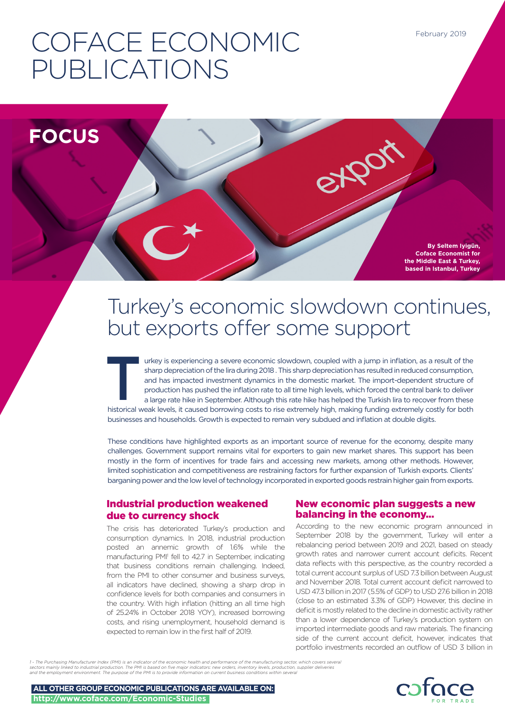# COFACE ECONOMIC PUBLICATIONS

**FOCUS**

**By Seltem Iyigün, Coface Economist for the Middle East & Turkey, based in Istanbul, Turkey**

# Turkey's economic slowdown continues, but exports offer some support

etport

Interior is experiencing a severe economic slowdown, coupled with a jump in inflation, as a result of the sharp depreciation of the lira during 2018. This sharp depreciation has resulted in reduced consumption, and has imp sharp depreciation of the lira during 2018 . This sharp depreciation has resulted in reduced consumption, and has impacted investment dynamics in the domestic market. The import-dependent structure of production has pushed the inflation rate to all time high levels, which forced the central bank to deliver a large rate hike in September. Although this rate hike has helped the Turkish lira to recover from these historical weak levels, it caused borrowing costs to rise extremely high, making funding extremely costly for both businesses and households. Growth is expected to remain very subdued and inflation at double digits.

These conditions have highlighted exports as an important source of revenue for the economy, despite many challenges. Government support remains vital for exporters to gain new market shares. This support has been mostly in the form of incentives for trade fairs and accessing new markets, among other methods. However, limited sophistication and competitiveness are restraining factors for further expansion of Turkish exports. Clients' barganing power and the low level of technology incorporated in exported goods restrain higher gain from exports.

# Industrial production weakened due to currency shock

The crisis has deteriorated Turkey's production and consumption dynamics. In 2018, industrial production posted an annemic growth of 1.6% while the manufacturing PMI<sup>1</sup> fell to 42.7 in September, indicating that business conditions remain challenging. Indeed, from the PMI to other consumer and business surveys, all indicators have declined, showing a sharp drop in confidence levels for both companies and consumers in the country. With high inflation (hitting an all time high of 25.24% in October 2018 YOY), increased borrowing costs, and rising unemployment, household demand is expected to remain low in the first half of 2019.

# New economic plan suggests a new balancing in the economy...

According to the new economic program announced in September 2018 by the government, Turkey will enter a rebalancing period between 2019 and 2021, based on steady growth rates and narrower current account deficits. Recent data reflects with this perspective, as the country recorded a total current account surplus of USD 7.3 billion between August and November 2018. Total current account deficit narrowed to USD 47.3 billion in 2017 (5.5% of GDP) to USD 27.6 billion in 2018 (close to an estimated 3.3% of GDP) However, this decline in deficit is mostly related to the decline in domestic activity rather than a lower dependence of Turkey's production system on imported intermediate goods and raw materials. The financing side of the current account deficit, however, indicates that portfolio investments recorded an outflow of USD 3 billion in

1 - The Purchasing Manufacturer Index (PMI) is an indicator of the economic health and performance of the manufacturing sector, which covers several<br>sectors mainly linked to industrial production. The PMI is based on five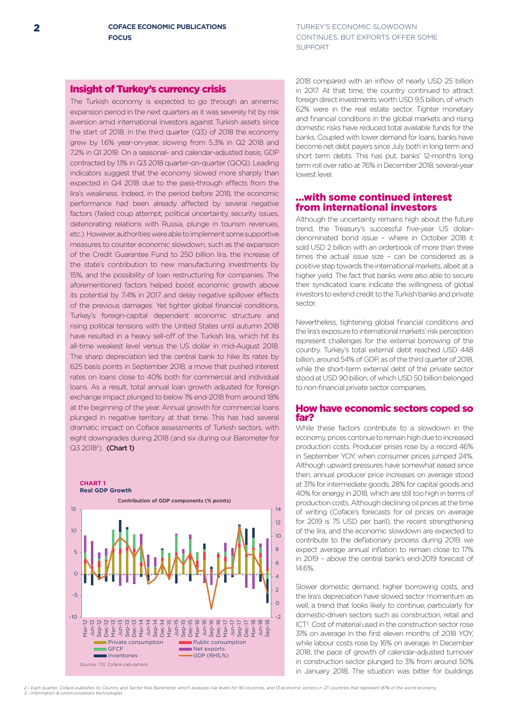# Insight of Turkey's currency crisis

The Turkish economy is expected to go through an annemic expansion period in the next quarters as it was severely hit by risk aversion amid international investors against Turkish assets since the start of 2018. In the third quarter (Q3) of 2018 the economy grew by 1.6% year-on-year, slowing from 5.3% in Q2 2018 and 7.2% in Q1 2018. On a seasonal- and calendar-adjusted basis, GDP contracted by 1.1% in Q3 2018 quarter-on-quarter (QOQ). Leading indicators suggest that the economy slowed more sharply than expected in Q4 2018 due to the pass-through effects from the lira's weakness. Indeed, in the period before 2018, the economic performance had been already affected by several negative factors (failed coup attempt, political uncertainty, security issues, deteriorating relations with Russia, plunge in tourism revenues, etc.). However, authorities were able to implement some supportive measures to counter economic slowdown, such as the expansion of the Credit Guarantee Fund to 250 billion lira, the increase of the state's contribution to new manufacturing investments by 15%, and the possibility of loan restructuring for companies. The aforementioned factors helped boost economic growth above its potential by 7.4% in 2017 and delay negative spillover effects of the previous damages. Yet tighter global financial conditions, Turkey's foreign-capital dependent economic structure and rising political tensions with the United States until autumn 2018 have resulted in a heavy sell-off of the Turkish lira, which hit its all-time weakest level versus the US dollar in mid-August 2018. The sharp depreciation led the central bank to hike its rates by 625 basis points in September 2018, a move that pushed interest rates on loans close to 40% both for commercial and individual loans. As a result, total annual loan growth adjusted for foreign exchange impact plunged to below 1% end-2018 from around 18% at the beginning of the year. Annual growth for commercial loans plunged in negative territory at that time. This has had several dramatic impact on Coface assessments of Turkish sectors, with eight downgrades during 2018 (and six during our Barometer for Q3 2018<sup>2</sup>). (Chart 1)



2018 compared with an inflow of nearly USD 25 billion in 2017. At that time, the country continued to attract foreign direct investments worth USD 9.5 billion, of which 62% were in the real estate sector. Tighter monetary and financial conditions in the global markets and rising domestic risks have reduced total available funds for the banks. Coupled with lower demand for loans, banks have become net debt payers since July both in long term and short term debts. This has put, banks' 12-months long term roll over ratio at 76% in December 2018, several-year lowest level.

# …with some continued interest from international investors

Although the uncertainty remains high about the future trend, the Treasury's successful five-year US dollardenominated bond issue – where in October 2018 it sold USD 2 billion with an orderbook of more than three times the actual issue size – can be considered as a positive step towards the international markets, albeit at a higher yield. The fact that banks were also able to secure their syndicated loans indicate the willingness of global investors to extend credit to the Turkish banks and private sector.

Nevertheless, tightening global financial conditions and the lira's exposure to international markets' risk perception represent challenges for the external borrowing of the country. Turkey's total external debt reached USD 448 billion, around 54% of GDP, as of the third quarter of 2018, while the short-term external debt of the private sector stood at USD 90 billion, of which USD 50 billion belonged to non-financial private sector companies.

#### How have economic sectors coped so far?

While these factors contribute to a slowdown in the economy, prices continue to remain high due to increased production costs. Producer prises rose by a record 46% in September YOY, when consumer prices jumped 24%. Although upward pressures have somewhat eased since then, annual producer price increases on average stood at 31% for intermediate goods, 28% for capital goods and 40% for energy in 2018, which are still too high in terms of production costs. Although declining oil prices at the time of writing (Coface's forecasts for oil prices on average for 2019 is 75 USD per baril), the recent strengthening of the lira, and the economic slowdown are expected to contribute to the deflationary process during 2019, we expect average annual inflation to remain close to 17% in 2019 – above the central bank's end-2019 forecast of 14.6%.

Slower domestic demand, higher borrowing costs, and the lira's depreciation have slowed sector momentum as well, a trend that looks likely to continue, particularly for domestic-driven sectors such as construction, retail and ICT3. Cost of material used in the construction sector rose 31% on average in the first eleven months of 2018 YOY, while labour costs rose by 16% on average. In December 2018, the pace of growth of calendar-adjusted turnover in construction sector plunged to 3% from around 50% in January 2018. The situation was bitter for buildings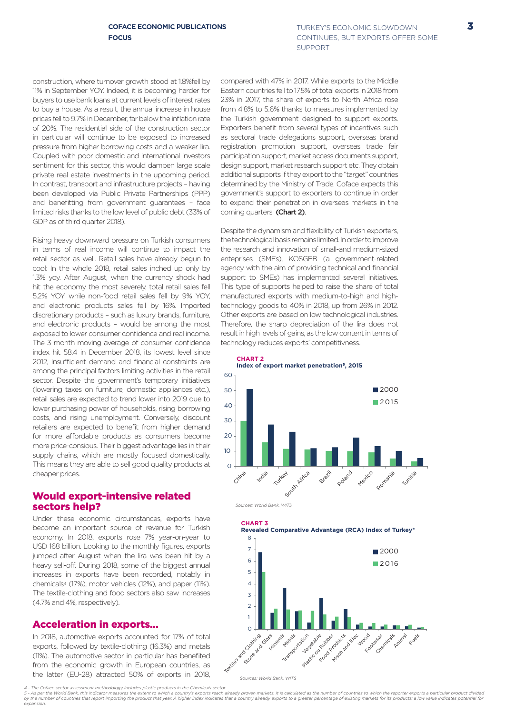TURKEY'S ECONOMIC SLOWDOWN 3 CONTINUES, BUT EXPORTS OFFER SOME SUPPORT

construction, where turnover growth stood at 1.8%fell by 11% in September YOY. Indeed, it is becoming harder for buyers to use bank loans at current levels of interest rates to buy a house. As a result, the annual increase in house prices fell to 9.7% in December, far below the inflation rate of 20%. The residential side of the construction sector in particular will continue to be exposed to increased pressure from higher borrowing costs and a weaker lira. Coupled with poor domestic and international investors sentiment for this sector, this would dampen large scale private real estate investments in the upcoming period. In contrast, transport and infrastructure projects – having been developed via Public Private Partnerships (PPP) and benefitting from government guarantees – face limited risks thanks to the low level of public debt (33% of GDP as of third quarter 2018).

Rising heavy downward pressure on Turkish consumers in terms of real income will continue to impact the retail sector as well. Retail sales have already begun to cool: In the whole 2018, retail sales inched up only by 1.3% yoy. After August, when the currency shock had hit the economy the most severely, total retail sales fell 5.2% YOY while non-food retail sales fell by 9% YOY, and electronic products sales fell by 16%. Imported discretionary products – such as luxury brands, furniture, and electronic products – would be among the most exposed to lower consumer confidence and real income. The 3-month moving average of consumer confidence index hit 58.4 in December 2018, its lowest level since 2012, Insufficient demand and financial constraints are among the principal factors limiting activities in the retail sector. Despite the government's temporary initiatives (lowering taxes on furniture, domestic appliances etc.), retail sales are expected to trend lower into 2019 due to lower purchasing power of households, rising borrowing costs, and rising unemployment. Conversely, discount retailers are expected to benefit from higher demand for more affordable products as consumers become more price-consious. Their biggest advantage lies in their supply chains, which are mostly focused domestically. This means they are able to sell good quality products at cheaper prices.

#### Would export-intensive related sectors help?

Under these economic circumstances, exports have become an important source of revenue for Turkish economy. In 2018, exports rose 7% year-on-year to USD 168 billion. Looking to the monthly figures, exports iumped after August when the lira was been hit by a heavy sell-off. During 2018, some of the biggest annual increases in exports have been recorded, notably in chemicals4 (17%), motor vehicles (12%), and paper (11%). The textile-clothing and food sectors also saw increases (4.7% and 4%, respectively).

# Acceleration in exports…

In 2018, automotive exports accounted for 17% of total exports, followed by textile-clothing (16.3%) and metals (11%). The automotive sector in particular has benefited from the economic growth in European countries, as the latter (EU-28) attracted 50% of exports in 2018,

compared with 47% in 2017. While exports to the Middle Eastern countries fell to 17.5% of total exports in 2018 from 23% in 2017, the share of exports to North Africa rose from 4.8% to 5.6% thanks to measures implemented by the Turkish government designed to support exports. Exporters benefit from several types of incentives such as sectoral trade delegations support, overseas brand registration promotion support, overseas trade fair participation support, market access documents support, design support, market research support etc. They obtain additional supports if they export to the "target" countries determined by the Ministry of Trade. Coface expects this government's support to exporters to continue in order to expand their penetration in overseas markets in the coming quarters (Chart 2).

Despite the dynamism and flexibility of Turkish exporters, the technological basis remains limited. In order to improve the research and innovation of small-and medium-sized enteprises (SMEs), KOSGEB (a government-related agency with the aim of providing technical and financial support to SMEs) has implemented several initiatives. This type of supports helped to raise the share of total manufactured exports with medium-to-high and hightechnology goods to 40% in 2018, up from 26% in 2012. Other exports are based on low technological industries. Therefore, the sharp depreciation of the lira does not result in high levels of gains, as the low content in terms of technology reduces exports' competitivness.









*<sup>4 -</sup> The Coface sector assessment methodology includes plastic products in the Chemicals sector.* r und sucurious social.<br>untry's exports reach already proven markets. It is calculated as the number of countries to which the reporter exports a particular product divided of the number of countries that epot importing the product that year. A higher index indicates that a country already exports to a greater percentage of existing markets for its products; a low value indicates potential fo *expansion.*